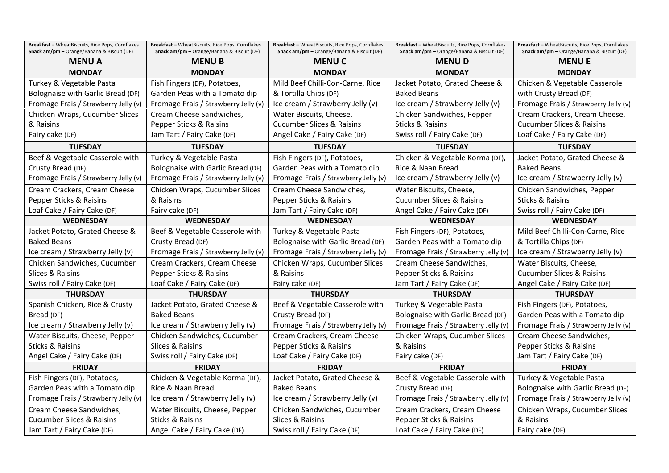| Breakfast - WheatBiscuits, Rice Pops, Cornflakes<br>Snack am/pm - Orange/Banana & Biscuit (DF) | Breakfast - WheatBiscuits, Rice Pops, Cornflakes<br>Snack am/pm - Orange/Banana & Biscuit (DF) | Breakfast - WheatBiscuits, Rice Pops, Cornflakes<br>Snack am/pm - Orange/Banana & Biscuit (DF) | Breakfast - WheatBiscuits, Rice Pops, Cornflakes<br>Snack am/pm - Orange/Banana & Biscuit (DF) | Breakfast - WheatBiscuits, Rice Pops, Cornflakes<br>Snack am/pm - Orange/Banana & Biscuit (DF) |
|------------------------------------------------------------------------------------------------|------------------------------------------------------------------------------------------------|------------------------------------------------------------------------------------------------|------------------------------------------------------------------------------------------------|------------------------------------------------------------------------------------------------|
| <b>MENUA</b>                                                                                   | <b>MENUB</b>                                                                                   | <b>MENUC</b>                                                                                   | <b>MENUD</b>                                                                                   | <b>MENUE</b>                                                                                   |
| <b>MONDAY</b>                                                                                  | <b>MONDAY</b>                                                                                  | <b>MONDAY</b>                                                                                  | <b>MONDAY</b>                                                                                  | <b>MONDAY</b>                                                                                  |
| Turkey & Vegetable Pasta                                                                       | Fish Fingers (DF), Potatoes,                                                                   | Mild Beef Chilli-Con-Carne, Rice                                                               | Jacket Potato, Grated Cheese &                                                                 | Chicken & Vegetable Casserole                                                                  |
| Bolognaise with Garlic Bread (DF)                                                              | Garden Peas with a Tomato dip                                                                  | & Tortilla Chips (DF)                                                                          | Baked Beans                                                                                    | with Crusty Bread (DF)                                                                         |
| Fromage Frais / Strawberry Jelly (v)                                                           | Fromage Frais / Strawberry Jelly (v)                                                           | Ice cream / Strawberry Jelly (v)                                                               | Ice cream / Strawberry Jelly (v)                                                               | Fromage Frais / Strawberry Jelly (v)                                                           |
| Chicken Wraps, Cucumber Slices                                                                 | Cream Cheese Sandwiches,                                                                       | Water Biscuits, Cheese,                                                                        | Chicken Sandwiches, Pepper                                                                     | Cream Crackers, Cream Cheese,                                                                  |
| & Raisins                                                                                      | Pepper Sticks & Raisins                                                                        | <b>Cucumber Slices &amp; Raisins</b>                                                           | <b>Sticks &amp; Raisins</b>                                                                    | <b>Cucumber Slices &amp; Raisins</b>                                                           |
| Fairy cake (DF)                                                                                | Jam Tart / Fairy Cake (DF)                                                                     | Angel Cake / Fairy Cake (DF)                                                                   | Swiss roll / Fairy Cake (DF)                                                                   | Loaf Cake / Fairy Cake (DF)                                                                    |
| <b>TUESDAY</b>                                                                                 | <b>TUESDAY</b>                                                                                 | <b>TUESDAY</b>                                                                                 | <b>TUESDAY</b>                                                                                 | <b>TUESDAY</b>                                                                                 |
| Beef & Vegetable Casserole with                                                                | Turkey & Vegetable Pasta                                                                       | Fish Fingers (DF), Potatoes,                                                                   | Chicken & Vegetable Korma (DF),                                                                | Jacket Potato, Grated Cheese &                                                                 |
| Crusty Bread (DF)                                                                              | Bolognaise with Garlic Bread (DF)                                                              | Garden Peas with a Tomato dip                                                                  | Rice & Naan Bread                                                                              | <b>Baked Beans</b>                                                                             |
| Fromage Frais / Strawberry Jelly (v)                                                           | Fromage Frais / Strawberry Jelly (v)                                                           | Fromage Frais / Strawberry Jelly (v)                                                           | Ice cream / Strawberry Jelly (v)                                                               | Ice cream / Strawberry Jelly (v)                                                               |
| Cream Crackers, Cream Cheese                                                                   | Chicken Wraps, Cucumber Slices                                                                 | Cream Cheese Sandwiches,                                                                       | Water Biscuits, Cheese,                                                                        | Chicken Sandwiches, Pepper                                                                     |
| Pepper Sticks & Raisins                                                                        | & Raisins                                                                                      | Pepper Sticks & Raisins                                                                        | <b>Cucumber Slices &amp; Raisins</b>                                                           | <b>Sticks &amp; Raisins</b>                                                                    |
| Loaf Cake / Fairy Cake (DF)                                                                    | Fairy cake (DF)                                                                                | Jam Tart / Fairy Cake (DF)                                                                     | Angel Cake / Fairy Cake (DF)                                                                   | Swiss roll / Fairy Cake (DF)                                                                   |
| <b>WEDNESDAY</b>                                                                               | <b>WEDNESDAY</b>                                                                               | <b>WEDNESDAY</b>                                                                               | <b>WEDNESDAY</b>                                                                               | <b>WEDNESDAY</b>                                                                               |
| Jacket Potato, Grated Cheese &                                                                 | Beef & Vegetable Casserole with                                                                | Turkey & Vegetable Pasta                                                                       | Fish Fingers (DF), Potatoes,                                                                   | Mild Beef Chilli-Con-Carne, Rice                                                               |
| <b>Baked Beans</b>                                                                             | Crusty Bread (DF)                                                                              | Bolognaise with Garlic Bread (DF)                                                              | Garden Peas with a Tomato dip                                                                  | & Tortilla Chips (DF)                                                                          |
| Ice cream / Strawberry Jelly (v)                                                               | Fromage Frais / Strawberry Jelly (v)                                                           | Fromage Frais / Strawberry Jelly (v)                                                           | Fromage Frais / Strawberry Jelly (v)                                                           | Ice cream / Strawberry Jelly (v)                                                               |
| Chicken Sandwiches, Cucumber                                                                   | Cream Crackers, Cream Cheese                                                                   | Chicken Wraps, Cucumber Slices                                                                 | Cream Cheese Sandwiches,                                                                       | Water Biscuits, Cheese,                                                                        |
| Slices & Raisins                                                                               | Pepper Sticks & Raisins                                                                        | & Raisins                                                                                      | Pepper Sticks & Raisins                                                                        | <b>Cucumber Slices &amp; Raisins</b>                                                           |
| Swiss roll / Fairy Cake (DF)                                                                   | Loaf Cake / Fairy Cake (DF)                                                                    | Fairy cake (DF)                                                                                | Jam Tart / Fairy Cake (DF)                                                                     | Angel Cake / Fairy Cake (DF)                                                                   |
| <b>THURSDAY</b>                                                                                | <b>THURSDAY</b>                                                                                | <b>THURSDAY</b>                                                                                | <b>THURSDAY</b>                                                                                | <b>THURSDAY</b>                                                                                |
| Spanish Chicken, Rice & Crusty                                                                 | Jacket Potato, Grated Cheese &                                                                 | Beef & Vegetable Casserole with                                                                | Turkey & Vegetable Pasta                                                                       | Fish Fingers (DF), Potatoes,                                                                   |
| Bread (DF)                                                                                     | <b>Baked Beans</b>                                                                             | Crusty Bread (DF)                                                                              | Bolognaise with Garlic Bread (DF)                                                              | Garden Peas with a Tomato dip                                                                  |
| Ice cream / Strawberry Jelly (v)                                                               | Ice cream / Strawberry Jelly (v)                                                               | Fromage Frais / Strawberry Jelly (v)                                                           | Fromage Frais / Strawberry Jelly (v)                                                           | Fromage Frais / Strawberry Jelly (v)                                                           |
| Water Biscuits, Cheese, Pepper                                                                 | Chicken Sandwiches, Cucumber                                                                   | Cream Crackers, Cream Cheese                                                                   | Chicken Wraps, Cucumber Slices                                                                 | Cream Cheese Sandwiches,                                                                       |
| <b>Sticks &amp; Raisins</b>                                                                    | Slices & Raisins                                                                               | Pepper Sticks & Raisins                                                                        | & Raisins                                                                                      | Pepper Sticks & Raisins                                                                        |
| Angel Cake / Fairy Cake (DF)                                                                   | Swiss roll / Fairy Cake (DF)                                                                   | Loaf Cake / Fairy Cake (DF)                                                                    | Fairy cake (DF)                                                                                | Jam Tart / Fairy Cake (DF)                                                                     |
| <b>FRIDAY</b>                                                                                  | <b>FRIDAY</b>                                                                                  | <b>FRIDAY</b>                                                                                  | <b>FRIDAY</b>                                                                                  | <b>FRIDAY</b>                                                                                  |
| Fish Fingers (DF), Potatoes,                                                                   | Chicken & Vegetable Korma (DF),                                                                | Jacket Potato, Grated Cheese &                                                                 | Beef & Vegetable Casserole with                                                                | Turkey & Vegetable Pasta                                                                       |
| Garden Peas with a Tomato dip                                                                  | Rice & Naan Bread                                                                              | <b>Baked Beans</b>                                                                             | Crusty Bread (DF)                                                                              | Bolognaise with Garlic Bread (DF)                                                              |
| Fromage Frais / Strawberry Jelly (v)                                                           | Ice cream / Strawberry Jelly (v)                                                               | Ice cream / Strawberry Jelly (v)                                                               | Fromage Frais / Strawberry Jelly (v)                                                           | Fromage Frais / Strawberry Jelly (v)                                                           |
| Cream Cheese Sandwiches,                                                                       | Water Biscuits, Cheese, Pepper                                                                 | Chicken Sandwiches, Cucumber                                                                   | Cream Crackers, Cream Cheese                                                                   | Chicken Wraps, Cucumber Slices                                                                 |
| <b>Cucumber Slices &amp; Raisins</b>                                                           | <b>Sticks &amp; Raisins</b>                                                                    | Slices & Raisins                                                                               | Pepper Sticks & Raisins                                                                        | & Raisins                                                                                      |
| Jam Tart / Fairy Cake (DF)                                                                     | Angel Cake / Fairy Cake (DF)                                                                   | Swiss roll / Fairy Cake (DF)                                                                   | Loaf Cake / Fairy Cake (DF)                                                                    | Fairy cake (DF)                                                                                |